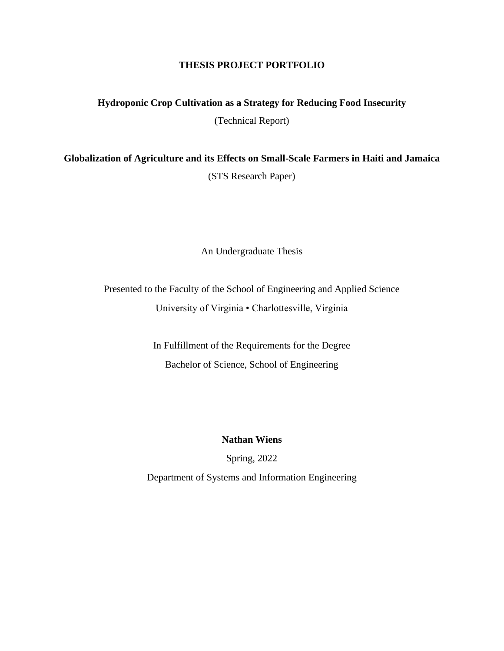## **THESIS PROJECT PORTFOLIO**

**Hydroponic Crop Cultivation as a Strategy for Reducing Food Insecurity**

(Technical Report)

**Globalization of Agriculture and its Effects on Small-Scale Farmers in Haiti and Jamaica** (STS Research Paper)

An Undergraduate Thesis

Presented to the Faculty of the School of Engineering and Applied Science University of Virginia • Charlottesville, Virginia

> In Fulfillment of the Requirements for the Degree Bachelor of Science, School of Engineering

> > **Nathan Wiens**

Spring, 2022

Department of Systems and Information Engineering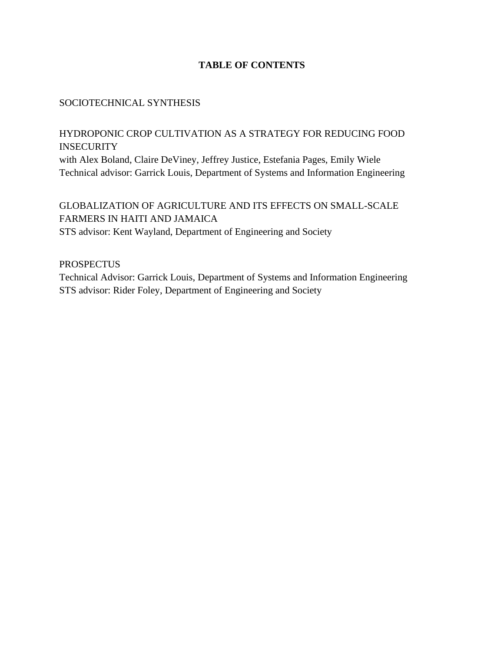## **TABLE OF CONTENTS**

## SOCIOTECHNICAL SYNTHESIS

HYDROPONIC CROP CULTIVATION AS A STRATEGY FOR REDUCING FOOD INSECURITY with Alex Boland, Claire DeViney, Jeffrey Justice, Estefania Pages, Emily Wiele Technical advisor: Garrick Louis, Department of Systems and Information Engineering

GLOBALIZATION OF AGRICULTURE AND ITS EFFECTS ON SMALL-SCALE FARMERS IN HAITI AND JAMAICA STS advisor: Kent Wayland, Department of Engineering and Society

**PROSPECTUS** 

Technical Advisor: Garrick Louis, Department of Systems and Information Engineering STS advisor: Rider Foley, Department of Engineering and Society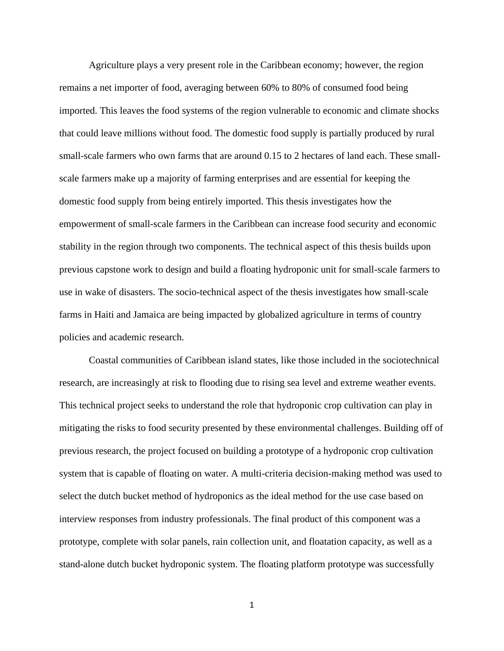Agriculture plays a very present role in the Caribbean economy; however, the region remains a net importer of food, averaging between 60% to 80% of consumed food being imported. This leaves the food systems of the region vulnerable to economic and climate shocks that could leave millions without food. The domestic food supply is partially produced by rural small-scale farmers who own farms that are around  $0.15$  to 2 hectares of land each. These smallscale farmers make up a majority of farming enterprises and are essential for keeping the domestic food supply from being entirely imported. This thesis investigates how the empowerment of small-scale farmers in the Caribbean can increase food security and economic stability in the region through two components. The technical aspect of this thesis builds upon previous capstone work to design and build a floating hydroponic unit for small-scale farmers to use in wake of disasters. The socio-technical aspect of the thesis investigates how small-scale farms in Haiti and Jamaica are being impacted by globalized agriculture in terms of country policies and academic research.

Coastal communities of Caribbean island states, like those included in the sociotechnical research, are increasingly at risk to flooding due to rising sea level and extreme weather events. This technical project seeks to understand the role that hydroponic crop cultivation can play in mitigating the risks to food security presented by these environmental challenges. Building off of previous research, the project focused on building a prototype of a hydroponic crop cultivation system that is capable of floating on water. A multi-criteria decision-making method was used to select the dutch bucket method of hydroponics as the ideal method for the use case based on interview responses from industry professionals. The final product of this component was a prototype, complete with solar panels, rain collection unit, and floatation capacity, as well as a stand-alone dutch bucket hydroponic system. The floating platform prototype was successfully

1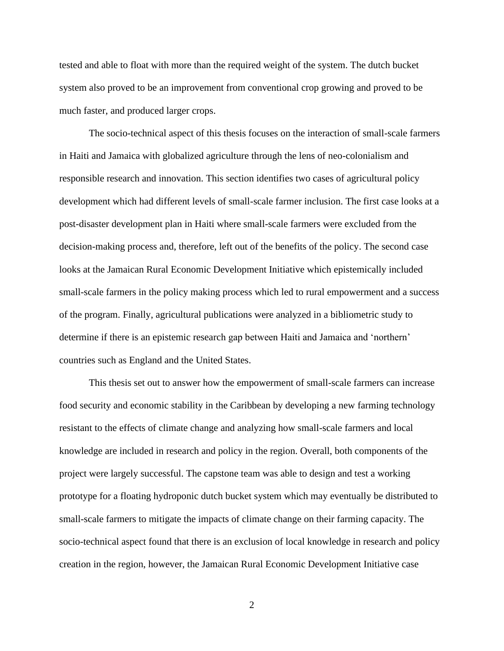tested and able to float with more than the required weight of the system. The dutch bucket system also proved to be an improvement from conventional crop growing and proved to be much faster, and produced larger crops.

The socio-technical aspect of this thesis focuses on the interaction of small-scale farmers in Haiti and Jamaica with globalized agriculture through the lens of neo-colonialism and responsible research and innovation. This section identifies two cases of agricultural policy development which had different levels of small-scale farmer inclusion. The first case looks at a post-disaster development plan in Haiti where small-scale farmers were excluded from the decision-making process and, therefore, left out of the benefits of the policy. The second case looks at the Jamaican Rural Economic Development Initiative which epistemically included small-scale farmers in the policy making process which led to rural empowerment and a success of the program. Finally, agricultural publications were analyzed in a bibliometric study to determine if there is an epistemic research gap between Haiti and Jamaica and 'northern' countries such as England and the United States.

This thesis set out to answer how the empowerment of small-scale farmers can increase food security and economic stability in the Caribbean by developing a new farming technology resistant to the effects of climate change and analyzing how small-scale farmers and local knowledge are included in research and policy in the region. Overall, both components of the project were largely successful. The capstone team was able to design and test a working prototype for a floating hydroponic dutch bucket system which may eventually be distributed to small-scale farmers to mitigate the impacts of climate change on their farming capacity. The socio-technical aspect found that there is an exclusion of local knowledge in research and policy creation in the region, however, the Jamaican Rural Economic Development Initiative case

2